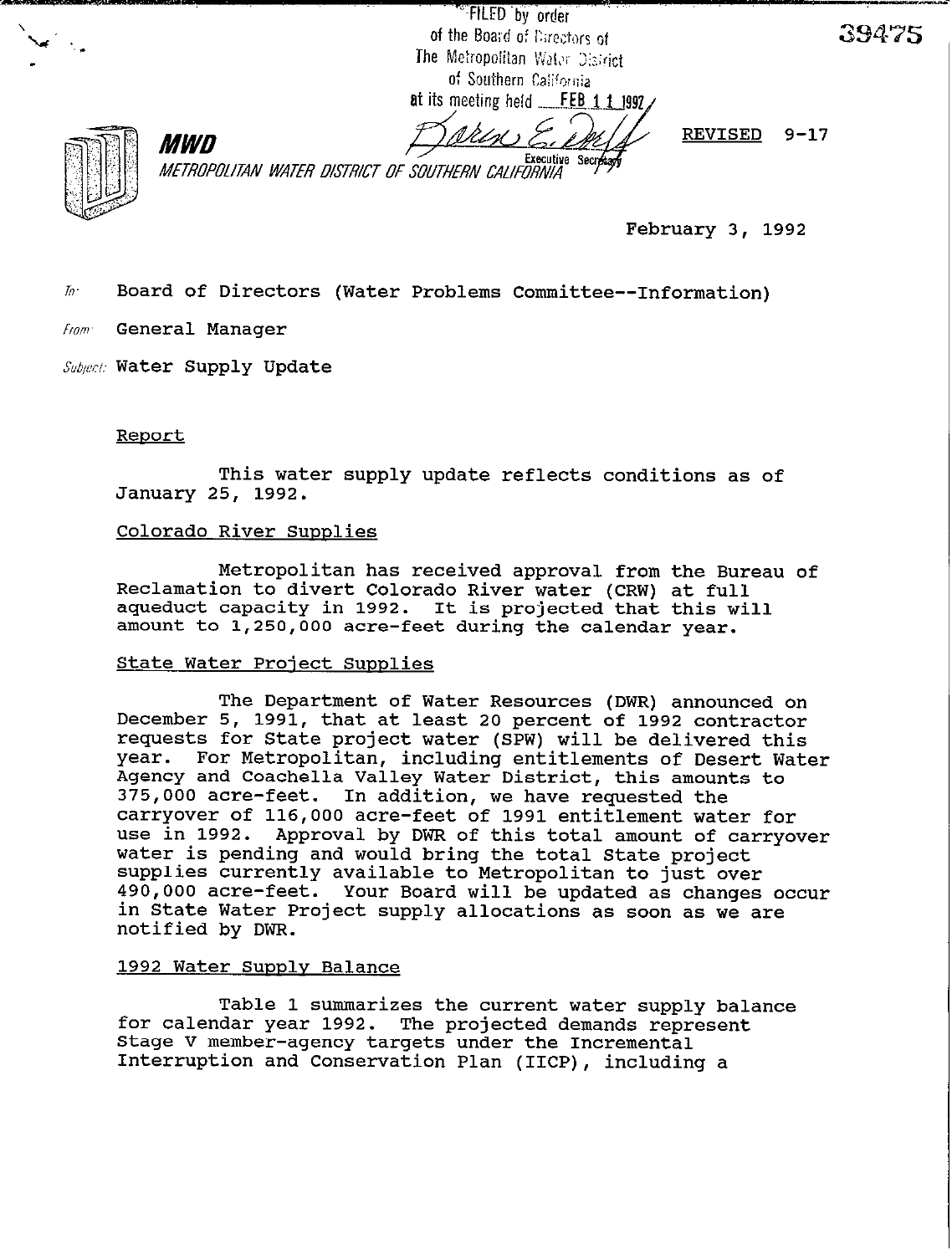"FILED by order of the Board of Directors of The Metropolitan Water District of Southern California at its meeting held FEB 1 1 1992.

MWD Executive Secretary<br>METROPOLITAN WATER DISTRICT OF SOUTHERN CALIFORNIA REVISED 9-17

39475

February 3, 1992

IO. Board of Directors (Water Problems Committee--Information)

from. General Manager

*Subpi:* Water Supply Update

#### Renort

This water supply update reflects conditions as of January 25, 1992.

#### Colorado River Supplies

Metropolitan has received approval from the Bureau of Reclamation to divert Colorado River water (CRW) at full aqueduct capacity in 1992. It is projected that this will amount to 1,250,OOO acre-feet during the calendar year.

#### State Water Project Supplies

The Department of Water Resources (DWR) announced on December 5, 1991, that at least 20 percent of 1992 contractor requests for State project water (SPW) will be delivered this year. For Metropolitan, including entitlements of Desert Water Agency and Coachella Valley Water District, this amounts to 375,000 acre-feet. In addition, we have requested the carryover of 116,000 acre-feet of 1991 entitlement water for use in 1992. Approval by DWR of this total amount of carryover water is pending and would bring the total State project supplies currently available to Metropolitan to just over 490,000 acre-feet. Your Board will be updated as changes occur in State Water Project supply allocations as soon as we are notified by DWR.

#### 1992 Water Supply Balance

Table 1 summarizes the current water supply balance for calendar year 1992. The projected demands represent Stage V member-agency targets under the Incremental Interruption and Conservation Plan (IICP), including a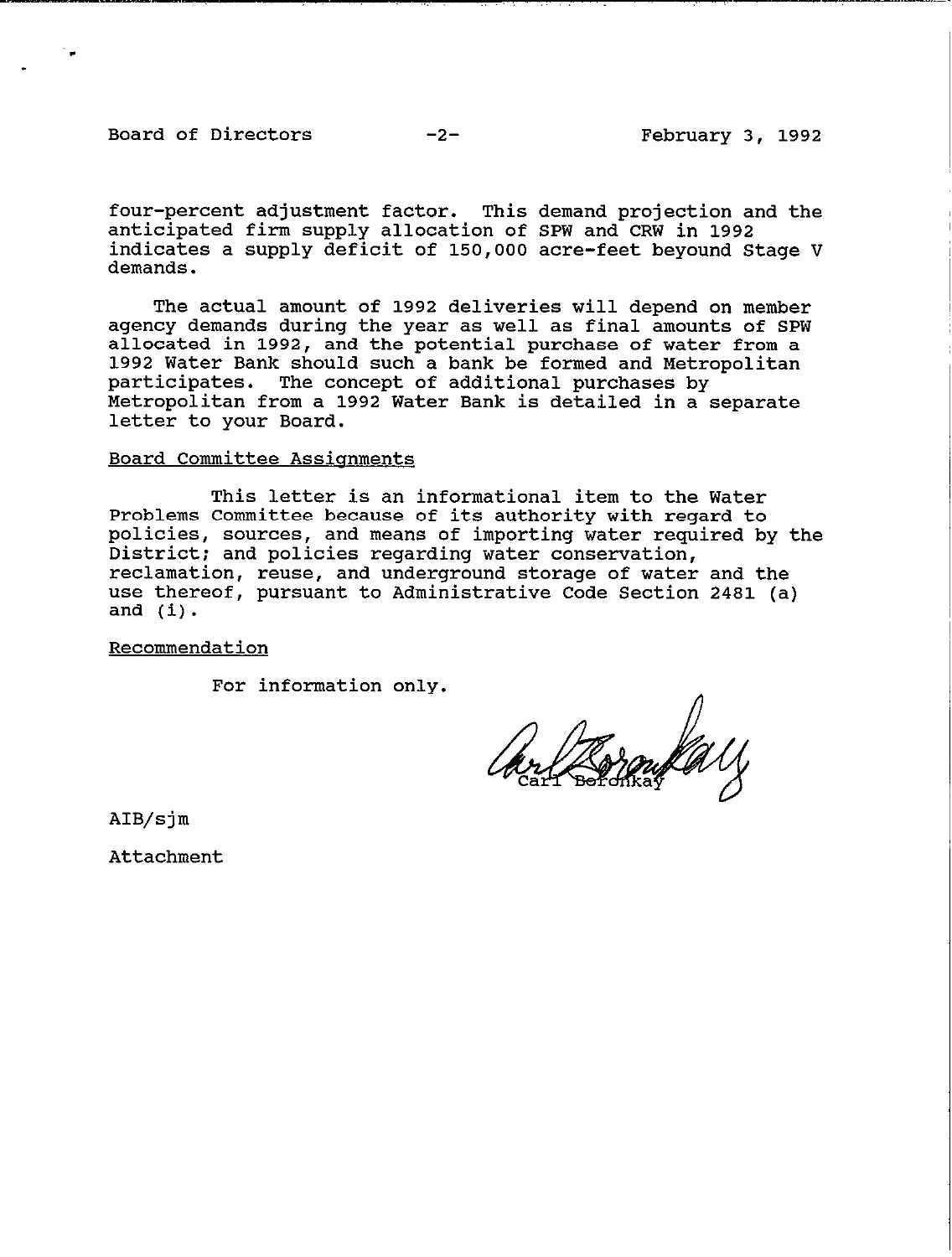### Board of Directors

four-percent adjustment factor. This demand projection and the anticipated firm supply allocation of SPW and CRW in 1992<br>indigates a supply deficit of 150,000 agre-feet beyound Ct indicates a supply deficit of 150,000 acre-feet beyound Stage V demands.

The actual amount of 1992 deliveries will depend on member agency demands during the year as well as final amounts of SPW allocated in 1992, and the potential purchase of water from a 1992 Water Bank should such a bank be formed and Metropolitan participates. The concept of additional purchases by Metropolitan from a 1992 Water Bank is detailed in a separate letter to your Board.

### Board Committee Assiqnments

This letter is an informational item to the Water Problems Committee because of its authority with regard to policies, sources, and means of importing water required by the District: and policies regarding water conservation, reclamation, reuse, and underground storage of water and the use thereof, pursuant to Administrative Code Section 2481 (a) and (i).

## Recommendation

For information only.

ur Brankall

AIB/sjm

Attachment